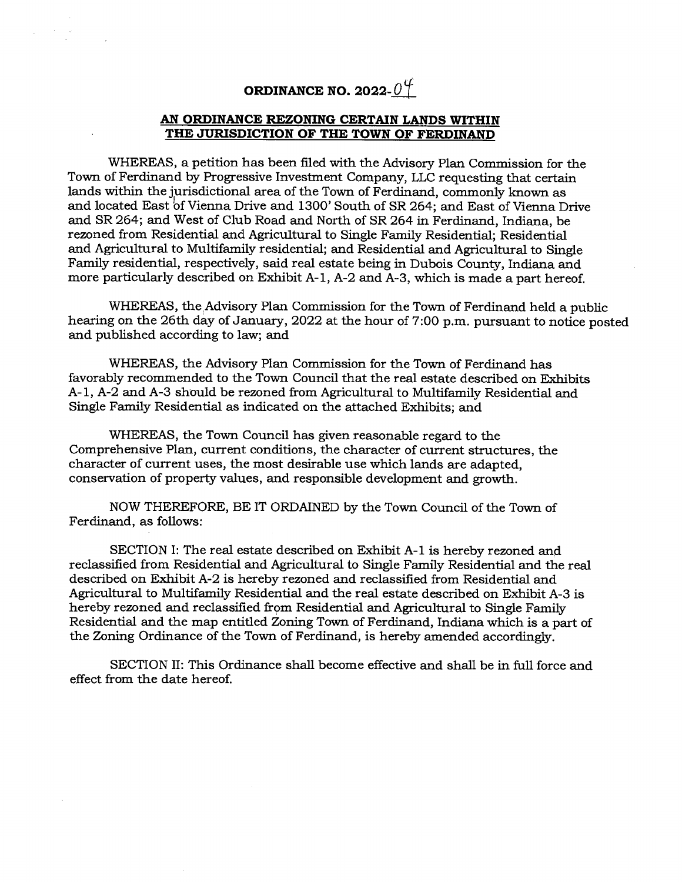# **ORDINANCE NO. 2022-04**

#### **AN ORDINANCE REZONING CERTAIN LANDS WITHIN THE JURISDICTION OF THE TOWN OF FERDINAND**

WHEREAS, a petition has been filed with the Advisory Plan Commission for the Town of Ferdinand by Progressive Investment Company, LLC requesting that certain lands within the jurisdictional area of the Town of Ferdinand, commonly known as and located East bf Vienna Drive and 1300 South of SR 264; and East of Vienna Drive and SR 264; and West of Club Road and North of SR 264 in Ferdinand, Indiana, be rezoned from Residential and Agricultural to Single Family Residential; Residential and Agricultural to Multifamily residential; and Residential and Agricultural to Single Family residential, respectively, said real estate being in Dubois County, Indiana and more particularly described on Exhibit A-1, A-2 and A-3, which is made a part hereof.

WHEREAS, the Advisory Plan Commission for the Town of Ferdinand held a public hearing on the 26th day of January, 2022 at the hour of 7:00 p.m. pursuant to notice posted and published according to law; and

WHEREAS, the Advisory Plan Commission for the Town of Ferdinand has favorably recommended to the Town Council that the real estate described on Exhibits A-1, A-2 and A-3 should be rezoned from Agricultural to Multifamily Residential and Single Family Residential as indicated on the attached Exhibits; and

WHEREAS, the Town Council has given reasonable regard to the Comprehensive Plan, current conditions, the character of current structures, the character of current uses, the most desirable use which lands are adapted, conservation of property values, and responsible development and growth.

NOW THEREFORE, BE IT ORDAINED by the Town Council of the Town of Ferdinand, as follows:

SECTION I: The real estate described on Exhibit A-1 is hereby rezoned and reclassified from Residential and Agricultural to Single Family Residential and the real described on Exhibit A-2 is hereby rezoned and reclassified from Residential and Agricultural to Multifamily Residential and the real estate described on Exhibit A-3 is hereby rezoned and reclassified from Residential and Agricultural to Singje Family Residential and the map entitled Zoning Town of Ferdinand, Indiana which is a part of the Zoning Ordinance of the Town of Ferdinand, is hereby amended accordingly.

SECTION II: This Ordinance shall become effective and shall be in full force and effect from the date hereof.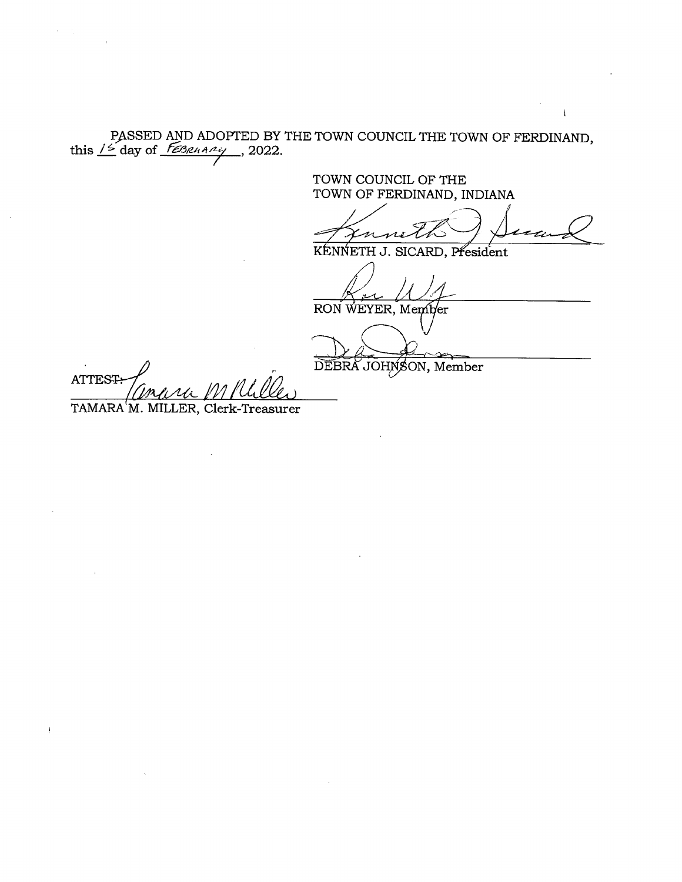PASSED AND ADOPTED BY THE TOWN COUNCIL THE TOWN OF FERDINAND, this  $\frac{15}{5}$  day of *FEBRARRY*, 2022.

TOWN COUNCIL OF THE TOWN OF FERDINAND, INDIANA

 $\mathbf{I}$ 

KENNETH J. SICARD, President

RON WEYER, Member

DEBRA JOHNSON, Member

**ATTEST:** 

TAMARA M. MILLER, Clerk-Treasurer

 $\mathbf i$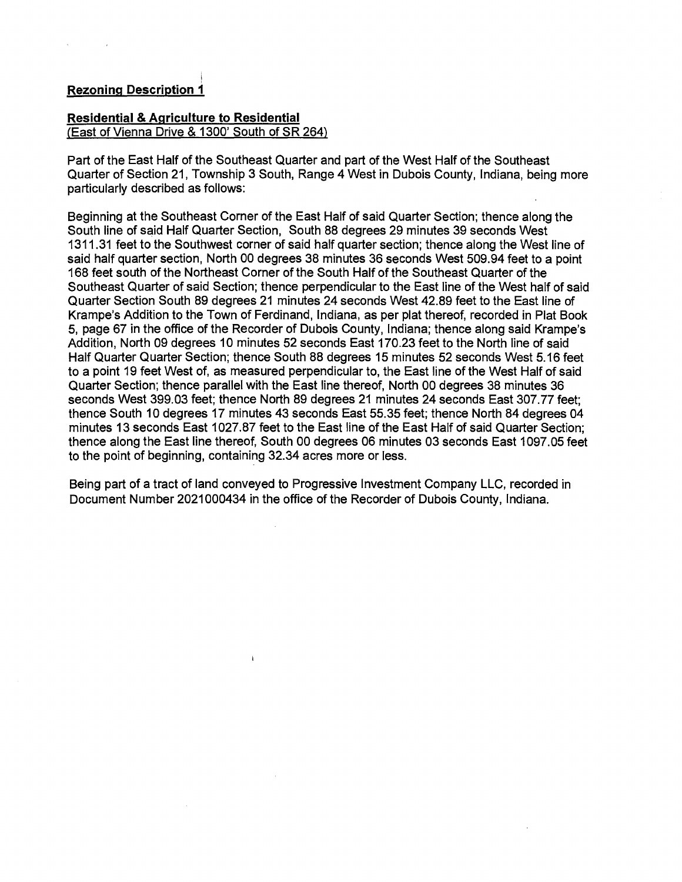# **Rezoninq Description 1**

# **Residential & Agriculture to Residential**

(East of Vienna Drive & 1300' South of SR 264)

Part of the East Half of the Southeast Quarter and part of the West Half of the Southeast Quarter of Section 21, Township 3 South, Range 4 West in Dubois County, Indiana, being more particularly described as follows:

Beginning at the Southeast Corner of the East Half of said Quarter Section, thence along the South line of said Half Quarter Section, South 88 degrees 29 minutes 39 seconds West 1311.31 feet to the Southwest corner of said half quarter section; thence along the West line of said half quarter section, North 00 degrees 38 minutes 36 seconds West 509.94 feet to a point 168 feet south of the Northeast Corner of the South Half of the Southeast Quarter of the Southeast Quarter of said Section; thence perpendicular to the East line of the West half of said Quarter Section South 89 degrees 21 minutes 24 seconds West 42.89 feet to the East line of Krampe's Addition to the Town of Ferdinand, Indiana, as per plat thereof, recorded in Plat Book 5, page 67 in the office of the Recorder of Dubois County, Indiana; thence along said Krampe's Addition, North 09 degrees 10 minutes 52 seconds East 170.23 feet to the North line of said Half Quarter Quarter Section; thence South 88 degrees 15 minutes 52 seconds West 5.16 feet to a point 19 feet West of, as measured perpendicular to, the East line of the West Half of said Quarter Section; thence parallel with the East line thereof, North 00 degrees 38 minutes 36 seconds West 399.03 feet; thence North 89 degrees 21 minutes 24 seconds East 307.77 feet; thence South 10 degrees 17 minutes 43 seconds East 55.35 feet; thence North 84 degrees 04 minutes 13 seconds East 1027.87 feet to the East line of the East Half of said Quarter Section; thence along the East line thereof, South 00 degrees 06 minutes 03 seconds East 1097.05 feet to the point of beginning, containing 32.34 acres more or less.

Being part of a tract of land conveyed to Progressive Investment Company LLC, recorded in Document Number 2021000434 in the office of the Recorder of Dubois County, Indiana.

 $\mathbf{I}$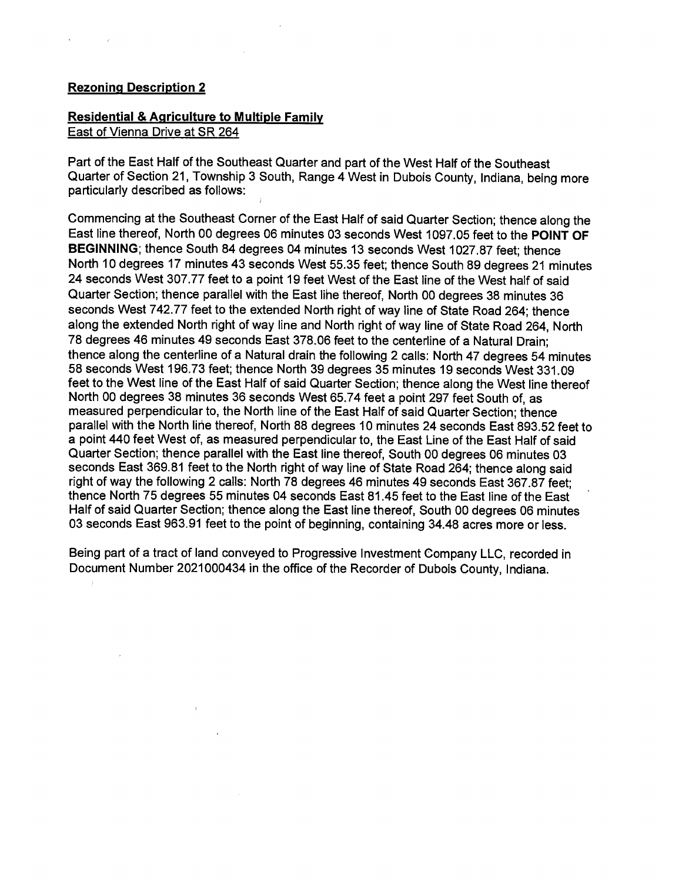#### **Rezoning Description 2**

# **Residential & Agriculture to Multiple Family**

East of Vienna Drive at SR 264

Part of the East Half of the Southeast Quarter and part of the West Half of the Southeast Quarter of Section 21, Township 3 South, Range 4 West in Dubois County, Indiana, being more particularly described as follows:

Commencing at the Southeast Corner of the East Half of said Quarter Section; thence along the East line thereof, North 00 degrees 06 minutes 03 seconds West 1097.05 feet to the **POINT OF BEGINNING;** thence South 84 degrees 04 minutes 13 seconds West 1027.87 feet; thence North 10 degrees 17 minutes 43 seconds West 55.35 feet; thence South 89 degrees 21 minutes 24 seconds West 307.77 feet to a point 19 feet West of the East line of the West half of said Quarter Section; thence parallel with the East lihe thereof, North 00 degrees 38 minutes 36 seconds West 742.77 feet to the extended North right of way line of State Road 264; thence along the extended North right of way line and North right of way line of State Road 264, North 78 degrees 46 minutes 49 seconds East 378.06 feet to the centerline of a Natural Drain; thence along the centerline of a Natural drain the following 2 calls: North 47 degrees 54 minutes 58 seconds West 196.73 feet; thence North 39 degrees 35 minutes 19 seconds West 331.09 feet to the West line of the East Half of said Quarter Section; thence along the West line thereof North 00 degrees 38 minutes 36 seconds West 65.74 feet a point 297 feet South of, as measured perpendicular to, the North line of the East Half of said Quarter Section; thence parallel with the North line thereof, North 88 degrees 10 minutes 24 seconds East 893.52 feet to a point 440 feet West of, as measured perpendicular to, the East Line of the East Half of said Quarter Section; thence parallel with the East line thereof, South 00 degrees 06 minutes 03 seconds East 369.81 feet to the North right of way line of State Road 264; thence along said right of way the following 2 calls: North 78 degrees 46 minutes 49 seconds East 367.87 feet; thence North 75 degrees 55 minutes 04 seconds East 81.45 feet to the East line of the East Half of said Quarter Section; thence along the East line thereof, South 00 degrees 06 minutes 03 seconds East 963.91 feet to the point of beginning, containing 34.48 acres more or less.

Being part of a tract of land conveyed to Progressive Investment Company LLC, recorded in Document Number 2021000434 in the office of the Recorder of Dubois County, Indiana.